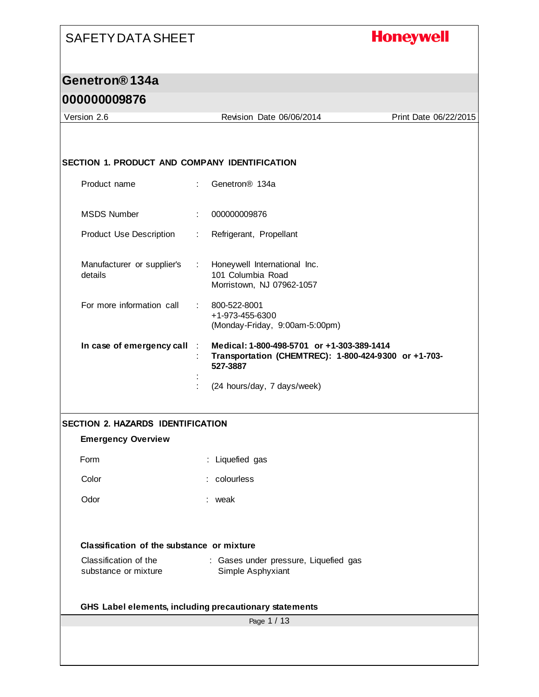# **Honeywell**

## **Genetron® 134a**

#### **000000009876**

| Version 2.6                                   |                               | Revision Date 06/06/2014                                                                                       | Print Date 06/22/2015 |
|-----------------------------------------------|-------------------------------|----------------------------------------------------------------------------------------------------------------|-----------------------|
|                                               |                               |                                                                                                                |                       |
| SECTION 1. PRODUCT AND COMPANY IDENTIFICATION |                               |                                                                                                                |                       |
| Product name                                  | ÷                             | Genetron <sup>®</sup> 134a                                                                                     |                       |
| <b>MSDS Number</b>                            | ÷                             | 000000009876                                                                                                   |                       |
| <b>Product Use Description</b>                | ÷                             | Refrigerant, Propellant                                                                                        |                       |
| Manufacturer or supplier's<br>details         | $\mathcal{L}^{\mathcal{L}}$ . | Honeywell International Inc.<br>101 Columbia Road<br>Morristown, NJ 07962-1057                                 |                       |
| For more information call                     | t.                            | 800-522-8001<br>+1-973-455-6300<br>(Monday-Friday, 9:00am-5:00pm)                                              |                       |
| In case of emergency call                     |                               | Medical: 1-800-498-5701 or +1-303-389-1414<br>Transportation (CHEMTREC): 1-800-424-9300 or +1-703-<br>527-3887 |                       |
|                                               |                               | (24 hours/day, 7 days/week)                                                                                    |                       |
| <b>SECTION 2. HAZARDS IDENTIFICATION</b>      |                               |                                                                                                                |                       |
| <b>Emergency Overview</b>                     |                               |                                                                                                                |                       |
| Form                                          |                               | : Liquefied gas                                                                                                |                       |
| Color                                         |                               | colourless                                                                                                     |                       |
| Odor                                          |                               | weak                                                                                                           |                       |
| Classification of the substance or mixture    |                               |                                                                                                                |                       |
| Classification of the<br>substance or mixture |                               | : Gases under pressure, Liquefied gas<br>Simple Asphyxiant                                                     |                       |
|                                               |                               | GHS Label elements, including precautionary statements                                                         |                       |
|                                               |                               | Page 1 / 13                                                                                                    |                       |
|                                               |                               |                                                                                                                |                       |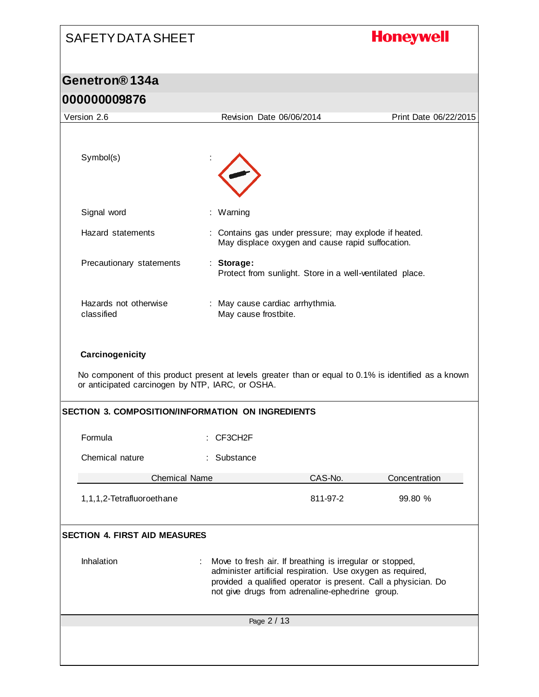| <b>SAFETY DATA SHEET</b>                                            |                                                                                                                                                                                 | <b>Honeywell</b>      |
|---------------------------------------------------------------------|---------------------------------------------------------------------------------------------------------------------------------------------------------------------------------|-----------------------|
| Genetron <sup>®</sup> 134a                                          |                                                                                                                                                                                 |                       |
| 000000009876                                                        |                                                                                                                                                                                 |                       |
| Version 2.6                                                         | Revision Date 06/06/2014                                                                                                                                                        | Print Date 06/22/2015 |
| Symbol(s)                                                           |                                                                                                                                                                                 |                       |
| Signal word                                                         | : Warning                                                                                                                                                                       |                       |
| Hazard statements                                                   | : Contains gas under pressure; may explode if heated.<br>May displace oxygen and cause rapid suffocation.                                                                       |                       |
| Precautionary statements                                            | : Storage:<br>Protect from sunlight. Store in a well-ventilated place.                                                                                                          |                       |
| Hazards not otherwise<br>classified                                 | : May cause cardiac arrhythmia.<br>May cause frostbite.                                                                                                                         |                       |
| Carcinogenicity<br>or anticipated carcinogen by NTP, IARC, or OSHA. | No component of this product present at levels greater than or equal to 0.1% is identified as a known<br>SECTION 3. COMPOSITION/INFORMATION ON INGREDIENTS                      |                       |
|                                                                     |                                                                                                                                                                                 |                       |
| Formula                                                             | : CF3CH2F                                                                                                                                                                       |                       |
| Chemical nature                                                     | : Substance                                                                                                                                                                     |                       |
| <b>Chemical Name</b>                                                | CAS-No.                                                                                                                                                                         | Concentration         |
| 1,1,1,2-Tetrafluoroethane                                           | 811-97-2                                                                                                                                                                        | 99.80 %               |
| <b>SECTION 4. FIRST AID MEASURES</b><br>Inhalation                  | Move to fresh air. If breathing is irregular or stopped,                                                                                                                        |                       |
|                                                                     | administer artificial respiration. Use oxygen as required,<br>provided a qualified operator is present. Call a physician. Do<br>not give drugs from adrenaline-ephedrine group. |                       |
|                                                                     | Page 2 / 13                                                                                                                                                                     |                       |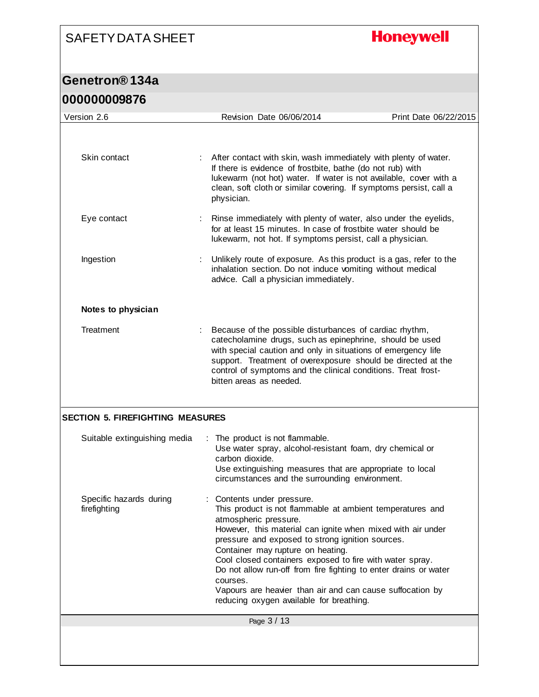## **Honeywell**

| <u>UUUUUUUJO / U</u>                    |                                                                                                                                                                                                                                                                                                                                                                                                                                                                                                                             |                       |
|-----------------------------------------|-----------------------------------------------------------------------------------------------------------------------------------------------------------------------------------------------------------------------------------------------------------------------------------------------------------------------------------------------------------------------------------------------------------------------------------------------------------------------------------------------------------------------------|-----------------------|
| Version 2.6                             | Revision Date 06/06/2014                                                                                                                                                                                                                                                                                                                                                                                                                                                                                                    | Print Date 06/22/2015 |
|                                         |                                                                                                                                                                                                                                                                                                                                                                                                                                                                                                                             |                       |
| Skin contact                            | After contact with skin, wash immediately with plenty of water.<br>If there is evidence of frostbite, bathe (do not rub) with<br>lukewarm (not hot) water. If water is not available, cover with a<br>clean, soft cloth or similar covering. If symptoms persist, call a<br>physician.                                                                                                                                                                                                                                      |                       |
| Eye contact                             | Rinse immediately with plenty of water, also under the eyelids,<br>for at least 15 minutes. In case of frostbite water should be<br>lukewarm, not hot. If symptoms persist, call a physician.                                                                                                                                                                                                                                                                                                                               |                       |
| Ingestion                               | Unlikely route of exposure. As this product is a gas, refer to the<br>inhalation section. Do not induce vomiting without medical<br>advice. Call a physician immediately.                                                                                                                                                                                                                                                                                                                                                   |                       |
| Notes to physician                      |                                                                                                                                                                                                                                                                                                                                                                                                                                                                                                                             |                       |
| Treatment                               | Because of the possible disturbances of cardiac rhythm,<br>catecholamine drugs, such as epinephrine, should be used<br>with special caution and only in situations of emergency life<br>support. Treatment of overexposure should be directed at the<br>control of symptoms and the clinical conditions. Treat frost-<br>bitten areas as needed.                                                                                                                                                                            |                       |
| <b>SECTION 5. FIREFIGHTING MEASURES</b> |                                                                                                                                                                                                                                                                                                                                                                                                                                                                                                                             |                       |
| Suitable extinguishing media            | : The product is not flammable.<br>Use water spray, alcohol-resistant foam, dry chemical or<br>carbon dioxide.<br>Use extinguishing measures that are appropriate to local<br>circumstances and the surrounding environment.                                                                                                                                                                                                                                                                                                |                       |
| Specific hazards during<br>firefighting | Contents under pressure.<br>This product is not flammable at ambient temperatures and<br>atmospheric pressure.<br>However, this material can ignite when mixed with air under<br>pressure and exposed to strong ignition sources.<br>Container may rupture on heating.<br>Cool closed containers exposed to fire with water spray.<br>Do not allow run-off from fire fighting to enter drains or water<br>courses.<br>Vapours are heavier than air and can cause suffocation by<br>reducing oxygen available for breathing. |                       |
|                                         | Page 3 / 13                                                                                                                                                                                                                                                                                                                                                                                                                                                                                                                 |                       |
|                                         |                                                                                                                                                                                                                                                                                                                                                                                                                                                                                                                             |                       |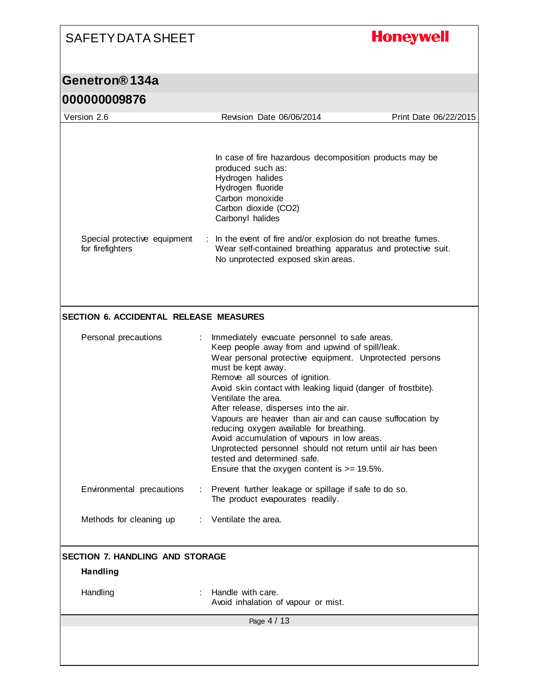## **Honeywell**

| <u> A J PRNANDAND NO</u>                         |                                                                                                                                                                                                                                                                                                                                                                                                                                                                                                                                                                                                                                                                |                       |
|--------------------------------------------------|----------------------------------------------------------------------------------------------------------------------------------------------------------------------------------------------------------------------------------------------------------------------------------------------------------------------------------------------------------------------------------------------------------------------------------------------------------------------------------------------------------------------------------------------------------------------------------------------------------------------------------------------------------------|-----------------------|
| Version 2.6                                      | Revision Date 06/06/2014                                                                                                                                                                                                                                                                                                                                                                                                                                                                                                                                                                                                                                       | Print Date 06/22/2015 |
|                                                  |                                                                                                                                                                                                                                                                                                                                                                                                                                                                                                                                                                                                                                                                |                       |
|                                                  | In case of fire hazardous decomposition products may be<br>produced such as:<br>Hydrogen halides<br>Hydrogen fluoride<br>Carbon monoxide<br>Carbon dioxide (CO2)<br>Carbonyl halides                                                                                                                                                                                                                                                                                                                                                                                                                                                                           |                       |
| Special protective equipment<br>for firefighters | : In the event of fire and/or explosion do not breathe fumes.<br>Wear self-contained breathing apparatus and protective suit.<br>No unprotected exposed skin areas.                                                                                                                                                                                                                                                                                                                                                                                                                                                                                            |                       |
| <b>SECTION 6. ACCIDENTAL RELEASE MEASURES</b>    |                                                                                                                                                                                                                                                                                                                                                                                                                                                                                                                                                                                                                                                                |                       |
|                                                  |                                                                                                                                                                                                                                                                                                                                                                                                                                                                                                                                                                                                                                                                |                       |
| Personal precautions                             | Immediately evacuate personnel to safe areas.<br>Keep people away from and upwind of spill/leak.<br>Wear personal protective equipment. Unprotected persons<br>must be kept away.<br>Remove all sources of ignition.<br>Avoid skin contact with leaking liquid (danger of frostbite).<br>Ventilate the area.<br>After release, disperses into the air.<br>Vapours are heavier than air and can cause suffocation by<br>reducing oxygen available for breathing.<br>Avoid accumulation of vapours in low areas.<br>Unprotected personnel should not return until air has been<br>tested and determined safe.<br>Ensure that the oxygen content is $>= 19.5\%$ . |                       |
| Environmental precautions                        | Prevent further leakage or spillage if safe to do so.<br>The product evapourates readily.                                                                                                                                                                                                                                                                                                                                                                                                                                                                                                                                                                      |                       |
| Methods for cleaning up                          | : Ventilate the area.                                                                                                                                                                                                                                                                                                                                                                                                                                                                                                                                                                                                                                          |                       |
| SECTION 7. HANDLING AND STORAGE                  |                                                                                                                                                                                                                                                                                                                                                                                                                                                                                                                                                                                                                                                                |                       |
| <b>Handling</b>                                  |                                                                                                                                                                                                                                                                                                                                                                                                                                                                                                                                                                                                                                                                |                       |
| Handling                                         | Handle with care.<br>Avoid inhalation of vapour or mist.                                                                                                                                                                                                                                                                                                                                                                                                                                                                                                                                                                                                       |                       |
|                                                  |                                                                                                                                                                                                                                                                                                                                                                                                                                                                                                                                                                                                                                                                |                       |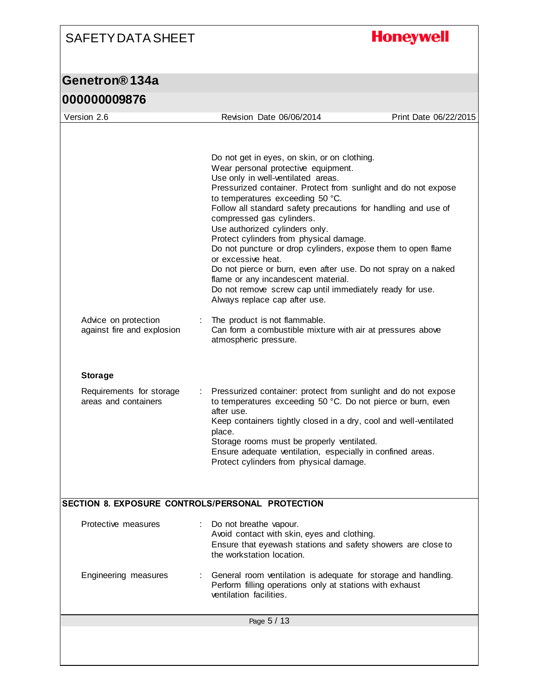**Honeywell** 

| UUUUUUUU I V                                       |                                                                                                                                                                                                                                                                                                                                                                                                                                                                                                                                                                                                                                                                                                         |                       |
|----------------------------------------------------|---------------------------------------------------------------------------------------------------------------------------------------------------------------------------------------------------------------------------------------------------------------------------------------------------------------------------------------------------------------------------------------------------------------------------------------------------------------------------------------------------------------------------------------------------------------------------------------------------------------------------------------------------------------------------------------------------------|-----------------------|
| Version 2.6                                        | Revision Date 06/06/2014                                                                                                                                                                                                                                                                                                                                                                                                                                                                                                                                                                                                                                                                                | Print Date 06/22/2015 |
|                                                    | Do not get in eyes, on skin, or on clothing.<br>Wear personal protective equipment.<br>Use only in well-ventilated areas.<br>Pressurized container. Protect from sunlight and do not expose<br>to temperatures exceeding 50 °C.<br>Follow all standard safety precautions for handling and use of<br>compressed gas cylinders.<br>Use authorized cylinders only.<br>Protect cylinders from physical damage.<br>Do not puncture or drop cylinders, expose them to open flame<br>or excessive heat.<br>Do not pierce or burn, even after use. Do not spray on a naked<br>flame or any incandescent material.<br>Do not remove screw cap until immediately ready for use.<br>Always replace cap after use. |                       |
| Advice on protection<br>against fire and explosion | The product is not flammable.<br>Can form a combustible mixture with air at pressures above<br>atmospheric pressure.                                                                                                                                                                                                                                                                                                                                                                                                                                                                                                                                                                                    |                       |
| <b>Storage</b>                                     |                                                                                                                                                                                                                                                                                                                                                                                                                                                                                                                                                                                                                                                                                                         |                       |
| Requirements for storage<br>areas and containers   | Pressurized container: protect from sunlight and do not expose<br>to temperatures exceeding 50 °C. Do not pierce or burn, even<br>after use.<br>Keep containers tightly closed in a dry, cool and well-ventilated<br>place.<br>Storage rooms must be properly ventilated.<br>Ensure adequate ventilation, especially in confined areas.<br>Protect cylinders from physical damage.                                                                                                                                                                                                                                                                                                                      |                       |
| SECTION 8. EXPOSURE CONTROLS/PERSONAL PROTECTION   |                                                                                                                                                                                                                                                                                                                                                                                                                                                                                                                                                                                                                                                                                                         |                       |
| Protective measures                                | Do not breathe vapour.<br>Avoid contact with skin, eyes and clothing.<br>Ensure that eyewash stations and safety showers are close to<br>the workstation location.                                                                                                                                                                                                                                                                                                                                                                                                                                                                                                                                      |                       |
| Engineering measures                               | General room ventilation is adequate for storage and handling.<br>Perform filling operations only at stations with exhaust<br>ventilation facilities.                                                                                                                                                                                                                                                                                                                                                                                                                                                                                                                                                   |                       |
|                                                    | Page 5 / 13                                                                                                                                                                                                                                                                                                                                                                                                                                                                                                                                                                                                                                                                                             |                       |
|                                                    |                                                                                                                                                                                                                                                                                                                                                                                                                                                                                                                                                                                                                                                                                                         |                       |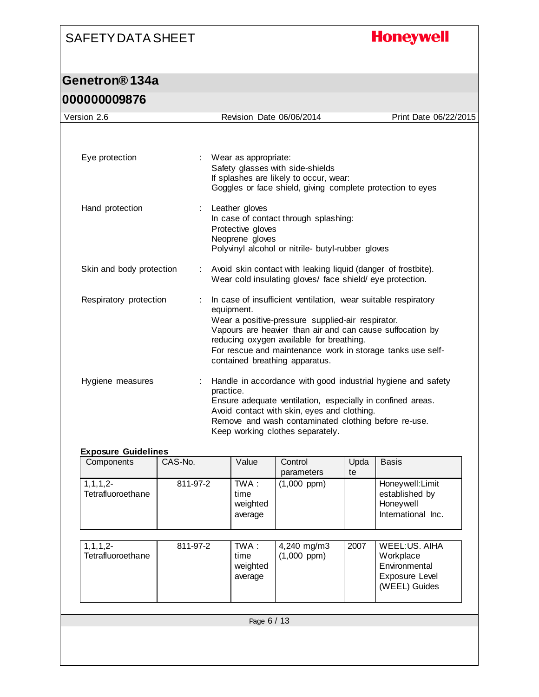## **Honeywell**

| Version 2.6                        |          |                                                                                                                                                                    | Revision Date 06/06/2014                                                                                                                                                                                                                                       |            | Print Date 06/22/2015                                                                 |  |
|------------------------------------|----------|--------------------------------------------------------------------------------------------------------------------------------------------------------------------|----------------------------------------------------------------------------------------------------------------------------------------------------------------------------------------------------------------------------------------------------------------|------------|---------------------------------------------------------------------------------------|--|
|                                    |          |                                                                                                                                                                    |                                                                                                                                                                                                                                                                |            |                                                                                       |  |
| Eye protection                     |          | : Wear as appropriate:<br>Safety glasses with side-shields<br>If splashes are likely to occur, wear:<br>Goggles or face shield, giving complete protection to eyes |                                                                                                                                                                                                                                                                |            |                                                                                       |  |
| Hand protection                    |          | Leather gloves<br>Protective gloves<br>Neoprene gloves                                                                                                             | In case of contact through splashing:<br>Polyvinyl alcohol or nitrile- butyl-rubber gloves                                                                                                                                                                     |            |                                                                                       |  |
| Skin and body protection           |          |                                                                                                                                                                    | Avoid skin contact with leaking liquid (danger of frostbite).<br>Wear cold insulating gloves/ face shield/ eye protection.                                                                                                                                     |            |                                                                                       |  |
| Respiratory protection             |          | equipment.                                                                                                                                                         | In case of insufficient ventilation, wear suitable respiratory<br>Wear a positive-pressure supplied-air respirator.<br>Vapours are heavier than air and can cause suffocation by<br>reducing oxygen available for breathing.<br>contained breathing apparatus. |            | For rescue and maintenance work in storage tanks use self-                            |  |
| Hygiene measures                   |          | practice.                                                                                                                                                          | Ensure adequate ventilation, especially in confined areas.<br>Avoid contact with skin, eyes and clothing.<br>Remove and wash contaminated clothing before re-use.<br>Keep working clothes separately.                                                          |            | Handle in accordance with good industrial hygiene and safety                          |  |
| <b>Exposure Guidelines</b>         |          |                                                                                                                                                                    |                                                                                                                                                                                                                                                                |            |                                                                                       |  |
| Components                         | CAS-No.  | Value                                                                                                                                                              | Control<br>parameters                                                                                                                                                                                                                                          | Upda<br>te | <b>Basis</b>                                                                          |  |
| $1, 1, 1, 2-$<br>Tetrafluoroethane | 811-97-2 | TWA:<br>time<br>weighted<br>average                                                                                                                                | $(1,000$ ppm $)$                                                                                                                                                                                                                                               |            | Honeywell: Limit<br>established by<br>Honeywell<br>International Inc.                 |  |
| $1, 1, 1, 2-$<br>Tetrafluoroethane | 811-97-2 | TWA:<br>time<br>weighted<br>average                                                                                                                                | 4,240 mg/m3<br>$(1,000$ ppm $)$                                                                                                                                                                                                                                | 2007       | <b>WEEL:US. AIHA</b><br>Workplace<br>Environmental<br>Exposure Level<br>(WEEL) Guides |  |
|                                    |          |                                                                                                                                                                    |                                                                                                                                                                                                                                                                |            |                                                                                       |  |
|                                    |          |                                                                                                                                                                    | Page 6 / 13                                                                                                                                                                                                                                                    |            |                                                                                       |  |
|                                    |          |                                                                                                                                                                    |                                                                                                                                                                                                                                                                |            |                                                                                       |  |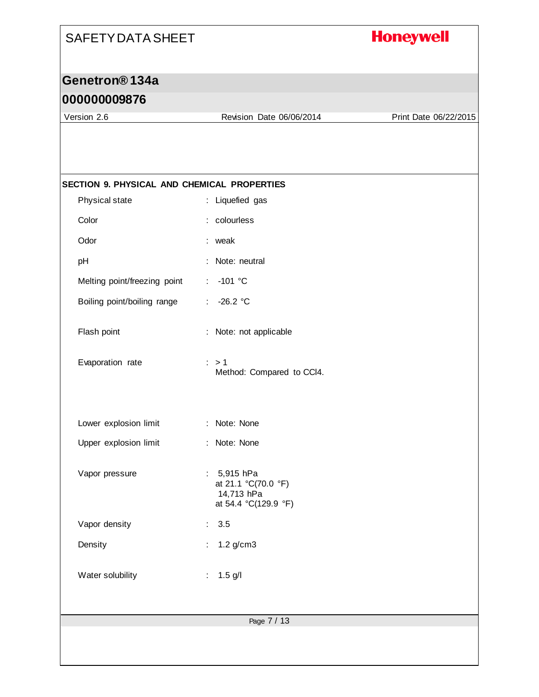## **Honeywell**

## **Genetron® 134a**

### **000000009876**

Version 2.6 Revision Date 06/06/2014 Print Date 06/22/2015

| SECTION 9. PHYSICAL AND CHEMICAL PROPERTIES |                                                                            |
|---------------------------------------------|----------------------------------------------------------------------------|
| Physical state                              | : Liquefied gas                                                            |
| Color                                       | : colourless                                                               |
| Odor                                        | : weak                                                                     |
| pH                                          | Note: neutral                                                              |
| Melting point/freezing point                | $-101$ °C<br>$\mathbb{Z}^{\times}$                                         |
| Boiling point/boiling range                 | $-26.2 °C$<br>÷.                                                           |
| Flash point                                 | : Note: not applicable                                                     |
| Evaporation rate                            | $\therefore$ > 1<br>Method: Compared to CCI4.                              |
| Lower explosion limit                       | : Note: None                                                               |
| Upper explosion limit                       | : Note: None                                                               |
| Vapor pressure                              | : $5,915$ hPa<br>at 21.1 °C(70.0 °F)<br>14,713 hPa<br>at 54.4 °C(129.9 °F) |
| Vapor density                               | 3.5                                                                        |
| Density                                     | : $1.2 \text{ g/cm}3$                                                      |
| Water solubility                            | $1.5$ g/l<br>÷                                                             |
|                                             | Page 7 / 13                                                                |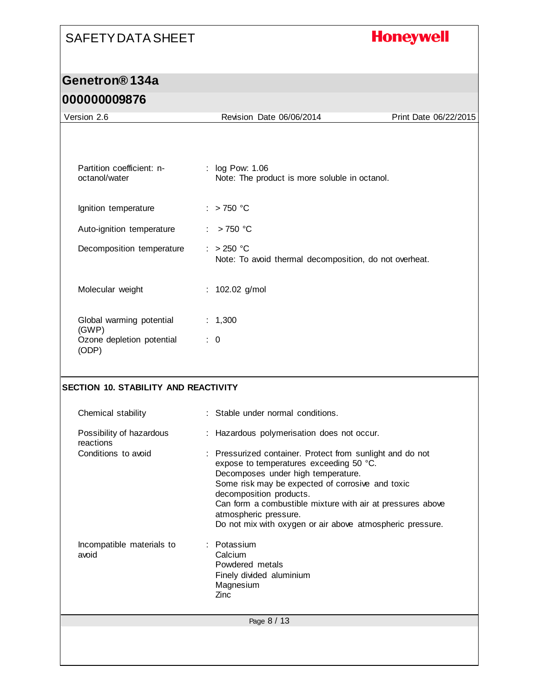## **Honeywell**

|--|

| Version 2.6                                 | Revision Date 06/06/2014                                                                                                                   | Print Date 06/22/2015 |
|---------------------------------------------|--------------------------------------------------------------------------------------------------------------------------------------------|-----------------------|
|                                             |                                                                                                                                            |                       |
| Partition coefficient: n-<br>octanol/water  | : log Pow: 1.06<br>Note: The product is more soluble in octanol.                                                                           |                       |
| Ignition temperature                        | $:$ > 750 °C                                                                                                                               |                       |
| Auto-ignition temperature                   | $>750$ °C                                                                                                                                  |                       |
| Decomposition temperature                   | $: >250$ °C<br>Note: To avoid thermal decomposition, do not overheat.                                                                      |                       |
| Molecular weight                            | : 102.02 g/mol                                                                                                                             |                       |
| Global warming potential<br>(GWP)           | : 1,300                                                                                                                                    |                       |
| Ozone depletion potential<br>(ODP)          | $\therefore$ 0                                                                                                                             |                       |
|                                             |                                                                                                                                            |                       |
| <b>SECTION 10. STABILITY AND REACTIVITY</b> |                                                                                                                                            |                       |
| Chemical stability                          | : Stable under normal conditions.                                                                                                          |                       |
| Possibility of hazardous<br>reactions       | : Hazardous polymerisation does not occur.                                                                                                 |                       |
| Conditions to avoid                         | : Pressurized container. Protect from sunlight and do not<br>expose to temperatures exceeding 50 °C.<br>Decomposes under high temperature. |                       |
|                                             | Some risk may be expected of corrosive and toxic<br>decomposition products.<br>Can form a combustible mixture with air at pressures above  |                       |
|                                             | atmospheric pressure.<br>Do not mix with oxygen or air above atmospheric pressure.                                                         |                       |
| Incompatible materials to<br>avoid          | Potassium<br>Calcium<br>Powdered metals<br>Finely divided aluminium<br>Magnesium<br>Zinc                                                   |                       |
|                                             | Page 8 / 13                                                                                                                                |                       |
|                                             |                                                                                                                                            |                       |
|                                             |                                                                                                                                            |                       |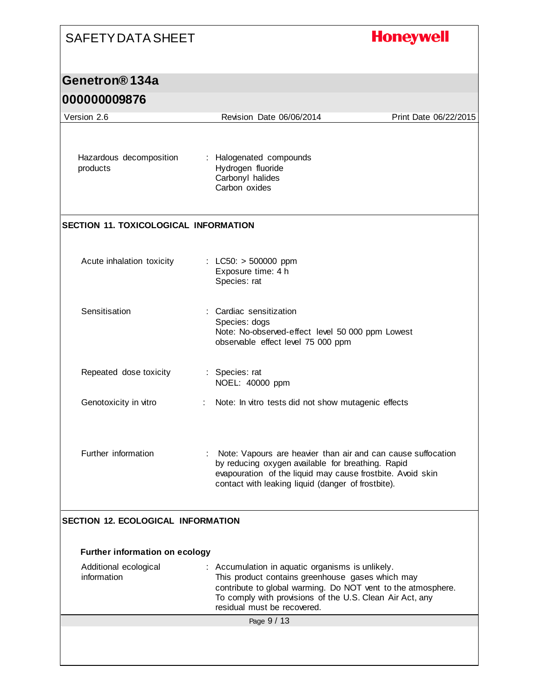## **Honeywell** SAFETY DATA SHEET **Genetron® 134a 000000009876** Version 2.6 Revision Date 06/06/2014 Print Date 06/22/2015 Hazardous decomposition : Halogenated compounds Hydrogen fluoride products Carbonyl halides Carbon oxides **SECTION 11. TOXICOLOGICAL INFORMATION** Acute inhalation toxicity : LC50: > 500000 ppm Exposure time: 4 h Species: rat Sensitisation : Cardiac sensitization Species: dogs Note: No-observed-effect level 50 000 ppm Lowest observable effect level 75 000 ppm Repeated dose toxicity : Species: rat NOEL: 40000 ppm Genotoxicity in vitro : Note: In vitro tests did not show mutagenic effects Further information : Note: Vapours are heavier than air and can cause suffocation by reducing oxygen available for breathing. Rapid evapouration of the liquid may cause frostbite. Avoid skin contact with leaking liquid (danger of frostbite). **SECTION 12. ECOLOGICAL INFORMATION Further information on ecology** Additional ecological : Accumulation in aquatic organisms is unlikely. information This product contains greenhouse gases which may contribute to global warming. Do NOT vent to the atmosphere. To comply with provisions of the U.S. Clean Air Act, any residual must be recovered.Page 9 / 13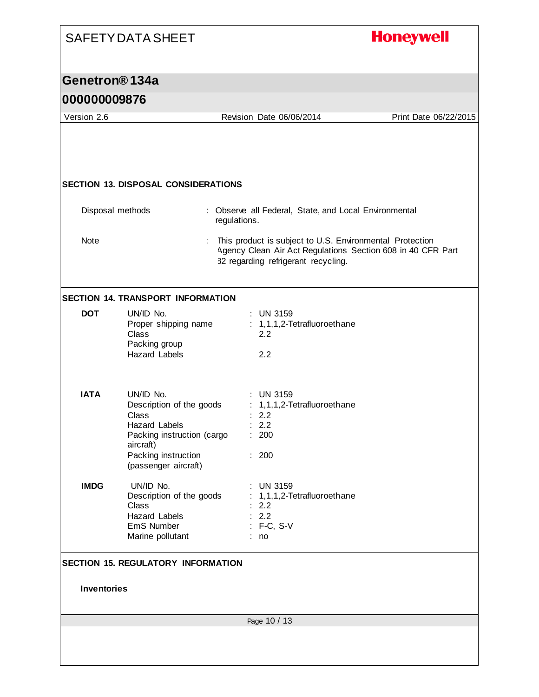|                            | <b>SAFETY DATA SHEET</b>                                    |                                                                                                                                                                | <b>Honeywell</b>      |
|----------------------------|-------------------------------------------------------------|----------------------------------------------------------------------------------------------------------------------------------------------------------------|-----------------------|
| Genetron <sup>®</sup> 134a |                                                             |                                                                                                                                                                |                       |
| 000000009876               |                                                             |                                                                                                                                                                |                       |
| Version 2.6                |                                                             | Revision Date 06/06/2014                                                                                                                                       | Print Date 06/22/2015 |
|                            |                                                             |                                                                                                                                                                |                       |
|                            | <b>SECTION 13. DISPOSAL CONSIDERATIONS</b>                  |                                                                                                                                                                |                       |
|                            | Disposal methods                                            | : Observe all Federal, State, and Local Environmental<br>regulations.                                                                                          |                       |
| <b>Note</b>                |                                                             | This product is subject to U.S. Environmental Protection<br>Agency Clean Air Act Regulations Section 608 in 40 CFR Part<br>82 regarding refrigerant recycling. |                       |
|                            | <b>SECTION 14. TRANSPORT INFORMATION</b>                    |                                                                                                                                                                |                       |
| <b>DOT</b>                 | UN/ID No.<br>Proper shipping name<br>Class<br>Packing group | $:$ UN 3159<br>: 1,1,1,2-Tetrafluoroethane<br>2.2                                                                                                              |                       |
|                            | <b>Hazard Labels</b>                                        | 2.2                                                                                                                                                            |                       |
| <b>IATA</b>                | UN/ID No.<br>Description of the goods                       | <b>UN 3159</b><br>: 1,1,1,2-Tetrafluoroethane                                                                                                                  |                       |
|                            | Class                                                       | 2.2                                                                                                                                                            |                       |
|                            | Hazard Labels<br>Packing instruction (cargo                 | : 2.2<br>: 200                                                                                                                                                 |                       |
|                            | aircraft)<br>Packing instruction<br>(passenger aircraft)    | : 200                                                                                                                                                          |                       |
| <b>IMDG</b>                | UN/ID No.                                                   | <b>UN 3159</b>                                                                                                                                                 |                       |
|                            | Description of the goods<br>Class                           | 1,1,1,2-Tetrafluoroethane<br>2.2                                                                                                                               |                       |
|                            | <b>Hazard Labels</b>                                        | : 2.2                                                                                                                                                          |                       |
|                            | EmS Number<br>Marine pollutant                              | $: F-C, S-V$<br>: no                                                                                                                                           |                       |
|                            |                                                             |                                                                                                                                                                |                       |
|                            | <b>SECTION 15. REGULATORY INFORMATION</b>                   |                                                                                                                                                                |                       |
| <b>Inventories</b>         |                                                             |                                                                                                                                                                |                       |
|                            |                                                             | Page 10 / 13                                                                                                                                                   |                       |
|                            |                                                             |                                                                                                                                                                |                       |
|                            |                                                             |                                                                                                                                                                |                       |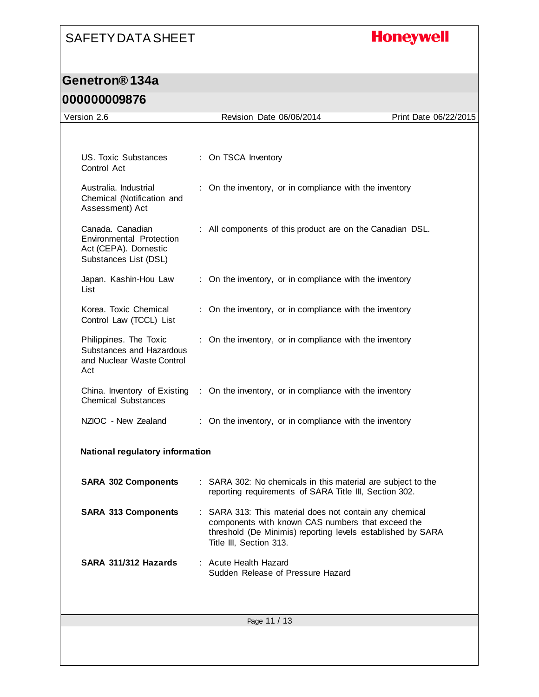## **Honeywell**

### **Genetron® 134a**

#### **000000009876**

| Version 2.6                                                                                   | Revision Date 06/06/2014                                                                                                                                                                             | Print Date 06/22/2015 |
|-----------------------------------------------------------------------------------------------|------------------------------------------------------------------------------------------------------------------------------------------------------------------------------------------------------|-----------------------|
|                                                                                               |                                                                                                                                                                                                      |                       |
| US. Toxic Substances<br>Control Act                                                           | : On TSCA Inventory                                                                                                                                                                                  |                       |
| Australia, Industrial<br>Chemical (Notification and<br>Assessment) Act                        | : On the inventory, or in compliance with the inventory                                                                                                                                              |                       |
| Canada, Canadian<br>Environmental Protection<br>Act (CEPA). Domestic<br>Substances List (DSL) | : All components of this product are on the Canadian DSL.                                                                                                                                            |                       |
| Japan. Kashin-Hou Law<br>List                                                                 | : On the inventory, or in compliance with the inventory                                                                                                                                              |                       |
| Korea. Toxic Chemical<br>Control Law (TCCL) List                                              | : On the inventory, or in compliance with the inventory                                                                                                                                              |                       |
| Philippines. The Toxic<br>Substances and Hazardous<br>and Nuclear Waste Control<br>Act        | : On the inventory, or in compliance with the inventory                                                                                                                                              |                       |
| China. Inventory of Existing<br><b>Chemical Substances</b>                                    | : On the inventory, or in compliance with the inventory                                                                                                                                              |                       |
| NZIOC - New Zealand                                                                           | : On the inventory, or in compliance with the inventory                                                                                                                                              |                       |
| National regulatory information                                                               |                                                                                                                                                                                                      |                       |
| <b>SARA 302 Components</b>                                                                    | : SARA 302: No chemicals in this material are subject to the<br>reporting requirements of SARA Title III, Section 302.                                                                               |                       |
| <b>SARA 313 Components</b>                                                                    | SARA 313: This material does not contain any chemical<br>components with known CAS numbers that exceed the<br>threshold (De Minimis) reporting levels established by SARA<br>Title III, Section 313. |                       |
| SARA 311/312 Hazards                                                                          | Acute Health Hazard<br>Sudden Release of Pressure Hazard                                                                                                                                             |                       |
|                                                                                               | Page 11 / 13                                                                                                                                                                                         |                       |
|                                                                                               |                                                                                                                                                                                                      |                       |
|                                                                                               |                                                                                                                                                                                                      |                       |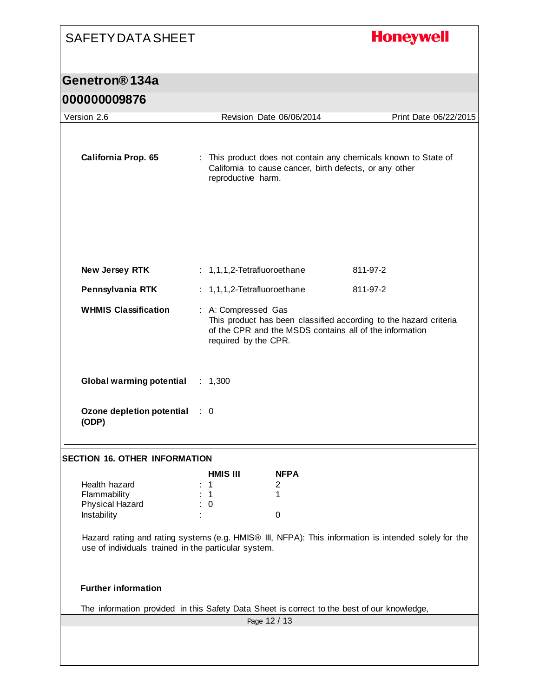# SAFETY DATA SHEET **Honeywell Genetron® 134a 000000009876** Version 2.6 Revision Date 06/06/2014 Print Date 06/22/2015 **California Prop. 65** : This product does not contain any chemicals known to State of California to cause cancer, birth defects, or any other reproductive harm. **New Jersey RTK** : 1,1,1,2-Tetrafluoroethane 811-97-2 **Pennsylvania RTK** : 1,1,1,2-Tetrafluoroethane 811-97-2 **WHMIS Classification** : A: Compressed Gas This product has been classified according to the hazard criteria of the CPR and the MSDS contains all of the information required by the CPR. **Global warming potential** : 1,300 **Ozone depletion potential**  : 0 **(ODP) SECTION 16. OTHER INFORMATION HMIS III NFPA** Health hazard : 1 2 Flammability : 1 1 1 Physical Hazard : 0 Instability is the contract of the contract of the contract of the contract of the contract of the contract of the contract of the contract of the contract of the contract of the contract of the contract of the contract of Hazard rating and rating systems (e.g. HMIS® III, NFPA): This information is intended solely for the use of individuals trained in the particular system. **Further information** The information provided in this Safety Data Sheet is correct to the best of our knowledge, Page 12 / 13